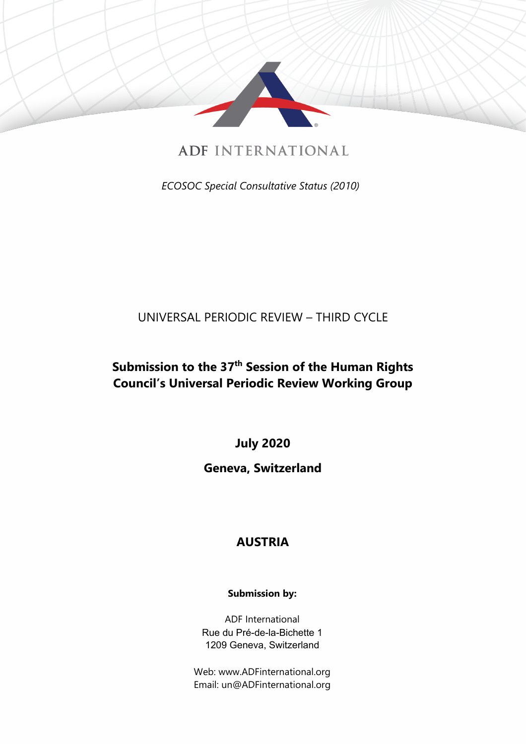

**ADE INTERNATIONAL** 

*ECOSOC Special Consultative Status (2010)*

# UNIVERSAL PERIODIC REVIEW – THIRD CYCLE

# **Submission to the 37th Session of the Human Rights Council'<sup>s</sup> Universal Periodic Review Working Group**

**July 2020**

## **Geneva, Switzerland**

## **AUSTRIA**

### **Submission by:**

ADF International Rue du Pré-de-la-Bichette 1 1209 Geneva, Switzerland

Web: www.ADFinternational.org Email: un@ADFinternational.org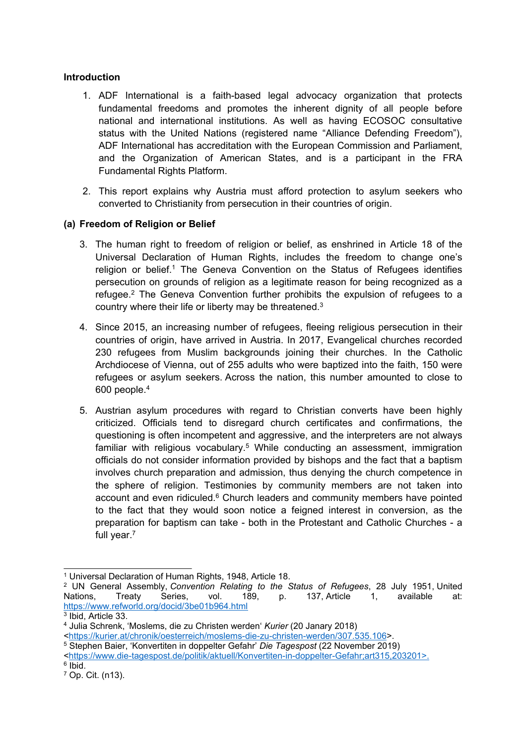#### **Introduction**

- 1. ADF International is <sup>a</sup> faith-based legal advocacy organization that protects fundamental freedoms and promotes the inherent dignity of all people before national and international institutions. As well as having ECOSOC consultative status with the United Nations (registered name "Alliance Defending Freedom"), ADF International has accreditation with the European Commission and Parliament, and the Organization of American States, and is <sup>a</sup> participant in the FRA Fundamental Rights Platform.
- 2. This report explains why Austria must afford protection to asylum seekers who converted to Christianity from persecution in their countries of origin.

#### **(a) Freedom of Religion or Belief**

- 3. The human right to freedom of religion or belief, as enshrined in Article 18 of the Universal Declaration of Human Rights, includes the freedom to change one'<sup>s</sup> religion or belief.<sup>1</sup> The Geneva Convention on the Status of Refugees identifies persecution on grounds of religion as <sup>a</sup> legitimate reason for being recognized as <sup>a</sup> refugee. 2 The Geneva Convention further prohibits the expulsion of refugees to <sup>a</sup> country where their life or liberty may be threatened. $^3$
- 4. Since 2015, an increasing number of refugees, fleeing religious persecution in their countries of origin, have arrived in Austria. In 2017, Evangelical churches recorded 230 refugees from Muslim backgrounds joining their churches. In the Catholic Archdiocese of Vienna, out of 255 adults who were baptized into the faith, 150 were refugees or asylum seekers. Across the nation, this number amounted to close to 600 people. 4
- 5. Austrian asylum procedures with regard to Christian converts have been highly criticized. Officials tend to disregard church certificates and confirmations, the questioning is often incompetent and aggressive, and the interpreters are not always familiar with religious vocabulary. <sup>5</sup> While conducting an assessment, immigration officials do not consider information provided by bishops and the fact that <sup>a</sup> baptism involves church preparation and admission, thus denying the church competence in the sphere of religion. Testimonies by community members are not taken into account and even ridiculed.<sup>6</sup> Church leaders and community members have pointed to the fact that they would soon notice <sup>a</sup> feigned interest in conversion, as the preparation for baptism can take - both in the Protestant and Catholic Churches - <sup>a</sup> full year. 7

<sup>1</sup> Universal Declaration of Human Rights, 1948, Article 18.

<sup>2</sup> UN General Assembly, *Convention Relating to the Status of Refugees*, 28 July 1951, United Nations, Treaty Series, vol. 189, p. 137, Article 1, available at: <https://www.refworld.org/docid/3be01b964.html>

<sup>3</sup> Ibid, Article 33.

<sup>4</sup> Julia Schrenk, 'Moslems, die zu Christen werden' *Kurier* (20 Janary 2018)

<sup>&</sup>lt;<https://kurier.at/chronik/oesterreich/moslems-die-zu-christen-werden/307.535.106>>.

<sup>5</sup> Stephen Baier, 'Konvertiten in doppelter Gefahr' *Die Tagespost* (22 November 2019)

<sup>&</sup>lt;<https://www.die-tagespost.de/politik/aktuell/Konvertiten-in-doppelter-Gefahr;art315,203201>>.

<sup>6</sup> Ibid.

<sup>7</sup> Op. Cit. (n13).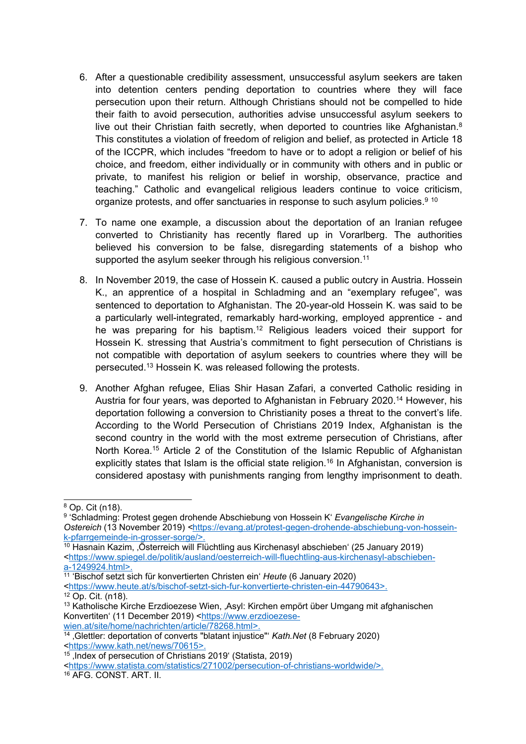- 6. After <sup>a</sup> questionable credibility assessment, unsuccessful asylum seekers are taken into detention centers pending deportation to countries where they will face persecution upon their return. Although Christians should not be compelled to hide their faith to avoid persecution, authorities advise unsuccessful asylum seekers to live out their Christian faith secretly, when deported to countries like Afghanistan. $^8$ This constitutes <sup>a</sup> violation of freedom of religion and belief, as protected in Article 18 of the ICCPR, which includes "freedom to have or to adopt <sup>a</sup> religion or belief of his choice, and freedom, either individually or in community with others and in public or private, to manifest his religion or belief in worship, observance, practice and teaching." Catholic and evangelical religious leaders continue to voice criticism, organize protests, and offer sanctuaries in response to such asylum policies. $^{\rm 9}$   $^{\rm 10}$
- 7. To name one example, <sup>a</sup> discussion about the deportation of an Iranian refugee converted to Christianity has recently flared up in Vorarlberg. The authorities believed his conversion to be false, disregarding statements of <sup>a</sup> bishop who supported the asylum seeker through his religious conversion. 11
- 8. In November 2019, the case of Hossein K. caused <sup>a</sup> public outcry in Austria. Hossein K., an apprentice of <sup>a</sup> hospital in Schladming and an "exemplary refugee", was sentenced to deportation to Afghanistan. The 20-year-old Hossein K. was said to be <sup>a</sup> particularly well-integrated, remarkably hard-working, employed apprentice - and he was preparing for his baptism. <sup>12</sup> Religious leaders voiced their support for Hossein K. stressing that Austria'<sup>s</sup> commitment to fight persecution of Christians is not compatible with deportation of asylum seekers to countries where they will be persecuted. <sup>13</sup> Hossein K. was released following the protests.
- 9. Another Afghan refugee, Elias Shir Hasan Zafari, <sup>a</sup> converted Catholic residing in Austria for four years, was deported to Afghanistan in February 2020. <sup>14</sup> However, his deportation following <sup>a</sup> conversion to Christianity poses <sup>a</sup> threat to the convert'<sup>s</sup> life. According to the World [Persecution](https://www.portesouvertes.fr/uploads/pdf/file/8/rapport-index-mondial-de-persecution-des-chretiens.pdf) of Christians 2019 Index, Afghanistan is the second country in the world with the most extreme persecution of Christians, after North Korea. <sup>15</sup> Article 2 of the Constitution of the Islamic Republic of Afghanistan explicitly states that Islam is the official state religion.<sup>16</sup> In Afghanistan, conversion is considered apostasy with punishments ranging from lengthy imprisonment to death.

<sup>8</sup> Op. Cit (n18).

<sup>9</sup> 'Schladming: Protest gegen drohende Abschiebung von Hossein K' *Evangelische Kirche in Ostereich* (13 November 2019) *<sup>&</sup>lt;*[https://evang.at/protest-gegen-drohende-abschiebung-von-hossein](https://evang.at/protest-gegen-drohende-abschiebung-von-hossein-k-pfarrgemeinde-in-grosser-sorge/)[k-pfarrgemeinde-in-grosser-sorge/](https://evang.at/protest-gegen-drohende-abschiebung-von-hossein-k-pfarrgemeinde-in-grosser-sorge/)>.

 $\overline{10}$  Hasnain Kazim,  $\overline{\text{O}}$ sterreich will Flüchtling aus Kirchenasyl abschieben' (25 January 2019) <[https://www.spiegel.de/politik/ausland/oesterreich-will-fluechtling-aus-kirchenasyl-abschieben](https://www.spiegel.de/politik/ausland/oesterreich-will-fluechtling-aus-kirchenasyl-abschieben-a-1249924.html)[a-1249924.html](https://www.spiegel.de/politik/ausland/oesterreich-will-fluechtling-aus-kirchenasyl-abschieben-a-1249924.html)>.

<sup>11</sup> 'Bischof setzt sich für konvertierten Christen ein' *Heute* (6 January 2020)

<sup>&</sup>lt;<https://www.heute.at/s/bischof-setzt-sich-fur-konvertierte-christen-ein-44790643>>.

 $12$  Op. Cit. (n18).

<sup>13</sup> Katholische Kirche Erzdioezese Wien, 'Asyl: Kirchen empört über Umgang mit afghanischen Konvertiten' (11 December 2019) <[https://www.erzdioezese](https://www.erzdioezese-wien.at/site/home/nachrichten/article/78268.html)[wien.at/site/home/nachrichten/article/78268.html](https://www.erzdioezese-wien.at/site/home/nachrichten/article/78268.html)>.

<sup>14</sup> 'Glettler: deportation of converts "blatant injustice"' *Kath.Net* (8 February 2020) <<https://www.kath.net/news/70615>>.

<sup>15</sup> 'Index of persecution of Christians 2019' (Statista, 2019)

<sup>&</sup>lt;<https://www.statista.com/statistics/271002/persecution-of-christians-worldwide/>>. <sup>16</sup> AFG. CONST. ART. II.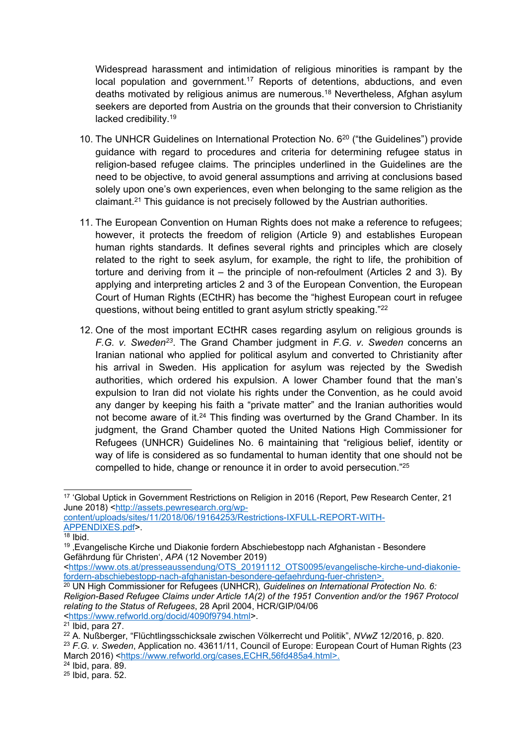Widespread harassment and intimidation of religious minorities is rampant by the local population and government.<sup>17</sup> Reports of detentions, abductions, and even deaths motivated by religious animus are numerous. <sup>18</sup> Nevertheless, Afghan asylum seekers are deported from Austria on the grounds that their conversion to Christianity lacked credibility. 19

- 10. The UNHCR Guidelines on International Protection No. 6<sup>20</sup> ("the Guidelines") provide guidance with regard to procedures and criteria for determining refugee status in religion-based refugee claims. The principles underlined in the Guidelines are the need to be objective, to avoid general assumptions and arriving at conclusions based solely upon one'<sup>s</sup> own experiences, even when belonging to the same religion as the claimant.<sup>21</sup> This guidance is not precisely followed by the Austrian authorities.
- 11. The European Convention on Human Rights does not make <sup>a</sup> reference to refugees; however, it protects the freedom of religion (Article 9) and establishes European human rights standards. It defines several rights and principles which are closely related to the right to seek asylum, for example, the right to life, the prohibition of torture and deriving from it – the principle of non-refoulment (Articles 2 and 3). By applying and interpreting articles 2 and 3 of the European Convention, the European Court of Human Rights (ECtHR) has become the "highest European court in refugee questions, without being entitled to grant asylum strictly speaking."<sup>22</sup>
- 12. One of the most important ECtHR cases regarding asylum on religious grounds is *F.G. v. Sweden<sup>23</sup>* . The Grand Chamber judgment in *F.G. v. Sweden* concerns an Iranian national who applied for political asylum and converted to Christianity after his arrival in Sweden. His application for asylum was rejected by the Swedish authorities, which ordered his expulsion. A lower Chamber found that the man'<sup>s</sup> expulsion to Iran did not violate his rights under the Convention, as he could avoid any danger by keeping his faith <sup>a</sup> "private matter" and the Iranian authorities would not become aware of it.<sup>24</sup> This finding was overturned by the Grand Chamber. In its judgment, the Grand Chamber quoted the United Nations High Commissioner for Refugees (UNHCR) Guidelines No. 6 maintaining that "religious belief, identity or way of life is considered as so fundamental to human identity that one should not be compelled to hide, change or renounce it in order to avoid persecution." 25

[content/uploads/sites/11/2018/06/19164253/Restrictions-IXFULL-REPORT-WITH-](http://assets.pewresearch.org/wp-content/uploads/sites/11/2018/06/19164253/Restrictions-IXFULL-REPORT-WITH-APPENDIXES.pdf)[APPENDIXES.pdf](http://assets.pewresearch.org/wp-content/uploads/sites/11/2018/06/19164253/Restrictions-IXFULL-REPORT-WITH-APPENDIXES.pdf)>.

 $^\mathrm{17}$  'Global Uptick in Government Restrictions on Religion in 2016 (Report, Pew Research Center, 21 June 2018) <[http://assets.pewresearch.org/wp-](http://assets.pewresearch.org/wp-content/uploads/sites/11/2018/06/19164253/Restrictions-IXFULL-REPORT-WITH-APPENDIXES.pdf)

<sup>18</sup> [Ibid.](http://assets.pewresearch.org/wp-content/uploads/sites/11/2018/06/19164253/Restrictions-IXFULL-REPORT-WITH-APPENDIXES.pdf)

<sup>&</sup>lt;sup>19</sup> 'Evangelische Kirche und Diakonie fordern Abschiebestopp nach Afghanistan - Besondere Gefährdung für Christen', *APA* (12 November 2019)

<sup>&</sup>lt;[https://www.ots.at/presseaussendung/OTS\\_20191112\\_OTS0095/evangelische-kirche-und-diakonie](https://www.ots.at/presseaussendung/OTS_20191112_OTS0095/evangelische-kirche-und-diakonie-fordern-abschiebestopp-nach-afghanistan-besondere-gefaehrdung-fuer-christen)[fordern-abschiebestopp-nach-afghanistan-besondere-gefaehrdung-fuer-christen](https://www.ots.at/presseaussendung/OTS_20191112_OTS0095/evangelische-kirche-und-diakonie-fordern-abschiebestopp-nach-afghanistan-besondere-gefaehrdung-fuer-christen)>.

<sup>20</sup> UN High Commissioner for Refugees (UNHCR), *Guidelines on International Protection No. 6: Religion-Based Refugee Claims under Article 1A(2) of the 1951 Convention and/or the 1967 Protocol relating to the Status of Refugees*, 28 April 2004, HCR/GIP/04/06 <<https://www.refworld.org/docid/4090f9794.html>>.

<sup>&</sup>lt;sup>21</sup> Ibid, para 27.

<sup>22</sup> A. Nußberger, "Flüchtlingsschicksale zwischen Völkerrecht und Politik", *NVwZ* 12/2016, p. 820. 23 *F.G. v. Sweden*, Application no. 43611/11, Council of Europe: European Court of Human Rights (23

March 2016) <<https://www.refworld.org/cases,ECHR,56fd485a4.html>>.

<sup>&</sup>lt;sup>24</sup> Ibid, para. 89.

<sup>&</sup>lt;sup>25</sup> Ibid, para. 52.